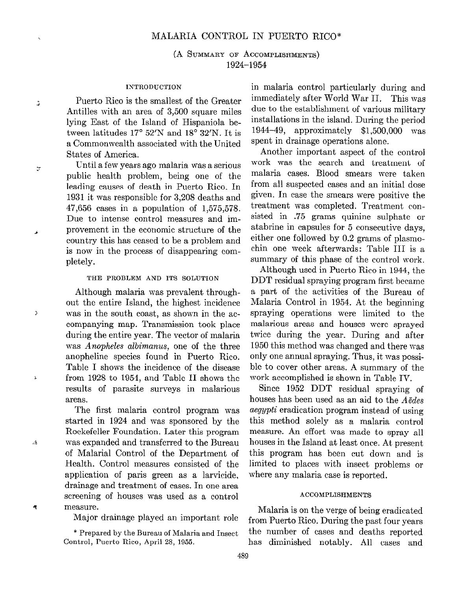(A SUMMARY OF ACCOMPLISHMENTS) 1924-l 954

## INTRODUCTION

Puerto Rico is the smallest of the Greater Antilles with an area of 3,500 square miles lying East of the Island of Hispaniola between latitudes  $17^{\circ}$  52'N and  $18^{\circ}$  32'N. It is a Commonwealth associated with the United States of America.

Ĵ.

 $\Lambda$ 

 $\ddot{r}$ 

: Until a few years ago malaria was a serious public health problem, being one of the leading causes of death in Puerto Rico. In 1931 it was responsible for 3,208 deaths and 47,656 cases in a population of 1,575,578. Due to intense control measures and im- **Example 1** provement in the economic structure of the country this has ceased to be a problem and is now in the process of disappearing completely.

## THE PROBLEM AND ITS SOLUTION

Although malaria was prevalent throughout the entire Island, the highest incidence ) was in the South coast, as shown in the accompanying map. Transmission took place during the entire year. The vector of malaria was Anopheles albimanus, one of the three anopheline species found in Puerto Rico. Table 1 shoms the incidence of the disease  $\frac{1}{2}$  from 1928 to 1954, and Table II shows the results of parasite surveys in malarious areas.

> The first malaria control program was started in 1924 and mas sponsored by the Rockefeller Foundation. Later this program was expanded and transferred to the Bureau of Malaria1 Control of the Department of Health. Control measures consisted of the application of Paris green as a larvicide, drainage and treatment of cases. In one area screening of houses mas used as a control measure.

Major drainage played an important role

\* Prepared by the Bureau of Malaria and Insect Control, Puerto Rico, April 28, 1955.

in malaria control particularly during and immediately after World War II. This was due to the establishment of various military installations in the island. During the period 194449, approximately \$1,500,000 was spent in drainage operations alone.

Another important aspect of the control work was the search and treatment of malaria cases. Blood smears mere taken from all suspected cases and an initial dose given. In case the smears were positive the treatment was completed. Treatment consisted in .75 grams quinine sulphate or atabrine in capsules for 5 consecutive days, either one followed by 0.2 grams of plasmochin one week afterwards: Table III is a summary of this phase of the control work.

Although used in Puerto Rico in 1944, the DDT residual spraying program first became a part of the activities of the Bureau of Malaria Control in 1954. At the beginning spraying operations were limited to the malarious areas and houses were sprayed twice during the year. During and after 1950 this method was changed and there was only one annual spraying. Thus, it was possible to cover other areas. A summary of the work accomplished is shown in Table IV.

Since 1952 DDT residual spraying of houses has been used as an aid to the Aëdes aegypti eradication program instead of using this method solely as a malaria control measure. An effort was made to spray al1 houses in the Island at least once. At present this program has been cut down and is limited to places with insect problems or where any malaria case is reported.

## ACCOMPLISHMENTS

Malaria is on the verge of being eradicated from Puerto Rico. During the past four years the number of cases and deaths reported has diminished notably. Al1 cases and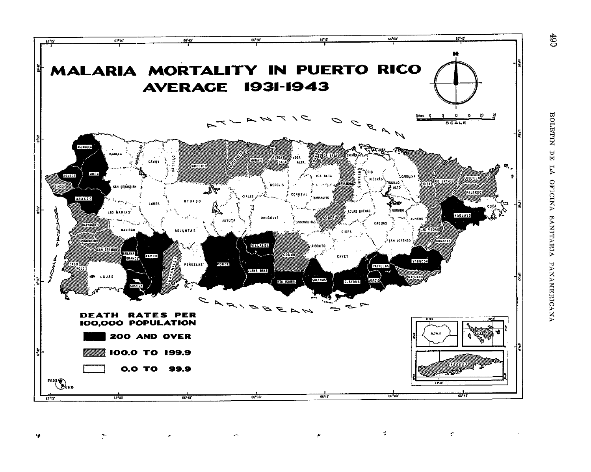

 $\cdot$ 

 $\Delta$ 

۹ņ.

 $\mathcal{A}$ 

 $\rightarrow$ 

 $\epsilon$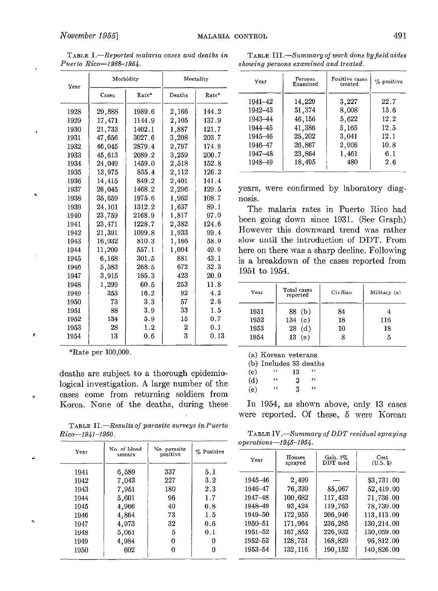| -20000<br> |           |        |           |           |  |  |
|------------|-----------|--------|-----------|-----------|--|--|
| Year       | Morbidity |        | Mortality |           |  |  |
|            | Cases     | Rate*  | Deaths    | Rate*     |  |  |
| 1928       | 29,888    | 1989.6 | 2,166     | 144.2     |  |  |
| 1929       | 17,471    | 1144.9 | 2,105     | 137.9     |  |  |
| 1930       | 21,733    | 1402.1 | 1,887     | 121.7     |  |  |
| 1931       | 47.656    | 3027.6 | 3,208     | $203.7\,$ |  |  |
| 1932       | 46.045    | 2879.4 | 2,797     | 174.9     |  |  |
| 1933       | 45,613    | 2089.2 | 3,259     | 200.7     |  |  |
| 1934       | 24,049    | 1459.0 | 2,518     | 152.8     |  |  |
| 1935       | 13,975    | 835.4  | 2,112     | 126.2     |  |  |
| 1936       | 14,415    | 849.2  | 2,401     | 141.4     |  |  |
| 1937       | 26,045    | 1468.2 | 2,296     | 129.5     |  |  |
| 1938       | 35.659    | 1975.6 | 1,962     | $108.7\,$ |  |  |
| 1939       | 24,101    | 1312.2 | 1,637     | 89.1      |  |  |
| 1940       | 23,759    | 2168.9 | 1,817     | 97.0      |  |  |
| 1941       | 23,471    | 1228.7 | 2,382     | 124.6     |  |  |
| 1942       | 21,391    | 1099.8 | 1,933     | 99.4      |  |  |
| 1943       | 16,032    | 810.3  | 1,166     | 58.9      |  |  |
| 1944       | 11,209    | 557.1  | 1,004     | 49.9      |  |  |
| 1945       | 6,168     | 301.5  | 881       | 43.1      |  |  |
| 1946       | 5.583     | 268.5  | 672       | 32.3      |  |  |
| 1947       | 3,915     | 185.3  | 423       | 20.0      |  |  |
| 1948       | 1,299     | 60.5   | 253       | 11.8      |  |  |
| 1949       | 353       | 16.2   | 92        | 4.2       |  |  |
| 1950       | 73        | 3.3    | 57        | 2.6       |  |  |
| 1951       | 88        | 3.9    | 33        | 1.5       |  |  |
| 1952       | 134       | 5.9    | 15        | 0.7       |  |  |
| 1953       | 28        | 1.2    | 2         | 0.1       |  |  |
| 1954       | 13        | 0.6    | 3         | 0.13      |  |  |
|            |           |        |           |           |  |  |

TABLE I.-Reported malaria cases and deaths in Puerto Rico-1928-1954.

\*Rate per 100,000.

þ

ä,

deaths are subject to a thorough epidemiological investigation. A large number of the cases come from returning soldiers from Korea. None of the deaths, during these

TABLE  $II$ . - Results of parasite surveys in Puerto Rico-1941-1950. TABLE IV.-Summary of DDT residual spraying

| Year | No. of blood<br>smears | No. parasite<br>positive | % Positive |  |
|------|------------------------|--------------------------|------------|--|
| 1941 | 6,589                  | 337                      | 5.1        |  |
| 1942 | 7,043                  | 227                      | 3.2        |  |
| 1943 | 7,951                  | 180                      | 2.3        |  |
| 1944 | 5,601                  | 96                       | 1.7        |  |
| 1945 | 4,966                  | 40                       | 0.8        |  |
| 1946 | 4,864                  | 73                       | 1.5        |  |
| 1947 | 4.973                  | 32                       | 0.6        |  |
| 1948 | 5,061                  | 5                        | 0.1        |  |
| 1949 | 4,984                  | o                        |            |  |
| 1950 | 602                    |                          |            |  |
|      |                        |                          |            |  |

TABLE III.-Summary of work done by field aides showing persons examined and treated.

|     | Morbidity |        | Mortality | Year    | Persons<br>Examined | Positive cases<br>treated | $%$ positive |
|-----|-----------|--------|-----------|---------|---------------------|---------------------------|--------------|
|     | Rate*     | Deaths | Rate*     | 1941–42 | 14.229              | 3,227                     | 22.7         |
| 38  | 1989.6    | 2,166  | 144.2     | 1942–43 | 51.374              | 8,008                     | 15.6         |
| 71  | 1144.9    | 2,105  | 137.9     | 1943-44 | 46,156              | 5,622                     | 12.2         |
| 33  | 1402.1    | 1.887  | 121.7     | 1944–45 | 41,386              | 5,165                     | 12.5         |
| 56  | 3027.6    | 3,208  | 203.7     | 1945–46 | 25,202              | 3.041                     | 12.1         |
| 15  | 2879.4    | 2,797  | 174.9     | 1946-47 | 26,867              | 2,906                     | 10.8         |
| 13  | 2089.2    | 3,259  | 200.7     | 1947–48 | 23,864              | 1,461                     | 6.1          |
| 19  | 1459.0    | 2,518  | 152.8     | 1948-49 | 18,495              | 480                       | 2.6          |
| 75. | 835 4     | 2 112  | 126.2     |         |                     |                           |              |

years, were confirmed by laboratory diagnosis.

The malaria rates in Puerto Rico had been going down since 1931. (See Graph) However this downmard trend was rather slow until the introduction of DDT. From here on there was a sharp decline. Following is a breakdown of the cases reported from 1951 to 1954.

| Year                         | Total cases<br>reported                | Civilian       | Military (a)   |
|------------------------------|----------------------------------------|----------------|----------------|
| 1951<br>1952<br>1953<br>1954 | 88 (b)<br>134(c)<br>28<br>(d)<br>13(e) | 84<br>18<br>10 | 116<br>18<br>h |

(a) Korean veterans

(b) Includes 33 deaths

 $\frac{\alpha}{\alpha}$  13  $\frac{\alpha}{\alpha}$  $\begin{array}{ccc} (d) & \alpha & 2 & \alpha \end{array}$ 

(e)  $\qquad$   $\qquad$   $\qquad$  3  $\qquad$   $\qquad$ 

In 1954, as shown above, only 13 cases were reported. Of these, 5 were Korean

operations-1945-1954.

| Year        | Houses  | Gals. 5% | Cost              |
|-------------|---------|----------|-------------------|
|             | sprayed | DDT used | $(U.S.$ $\Omega)$ |
| 1945–46     | 2,499   | 85,967   | \$3,731.00        |
| 1946-47     | 76,339  |          | 52,419.00         |
| 1947-48     | 100,682 | 117,433  | 71,736.00         |
| 1948-49     | 93,424  | 119,763  | 78,730.00         |
| 1949-50     | 172,955 | 206,946  | 113,113.00        |
| 1950-51     | 171.964 | 236,285  | 130,214.00        |
| $1951 - 52$ | 167,852 | 226,932  | 130,059.00        |
| 1952–53     | 128,751 | 168,829  | 96,812.00         |
| 1953-54     | 132,116 | 190,152  | 140,826.00        |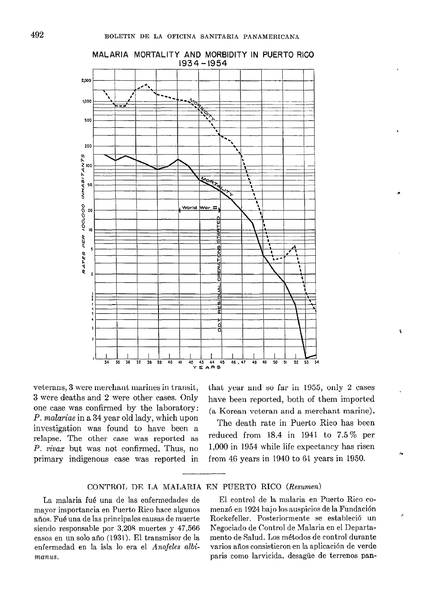

MALARIA MORTALITY AND MORBIDITY IN PUERTO RICO 1934 - 1954

3 were deaths and 2 were other cases. Only have been reported, both of them imported one case was confirmed by the laboratory: P. malariae in a 34 year old lady, which upon investigation was found to have been a relapse. The other case was reported as reduced from 18.4 in 1941 to 7.5% per  $P$ , vivax but was not confirmed. Thus, no  $1,000$  in 1954 while life expectancy has risen P. vivax but was not confirmed. Thus, no

veterans, 3 were merchant marines in transit, that year and so far in 1955, only 2 cases (a Korean veteran and a merchant marine). P

The death rate in Puerto Rico has heen primary indigenous case was reported in from 46 years in 1940 to 61 years in 1950.

CONTROL DE LA MALARIA EN PUERTO RICO (Resumen)

años. Fué una de las principales causas de muerte enfermedad en la isla lo era el Anofeles albi- varios años consistieron en la aplicación de verde manus. Paris como larvicida, desagüe de terrenos pan-

La malaria fué una de las enfermedades de El control de la malaria en Puerto Rico comayor importancia en Puerto Rico hace algunos menzó en 1924 bajo los auspicios de la Fundación siendo responsable por 3,208 muertes y 47,566 Negociado de Control de Malaria en el Departacasos en un solo año (1931). El transmisor de la mento de Salud. Los métodos de control durante